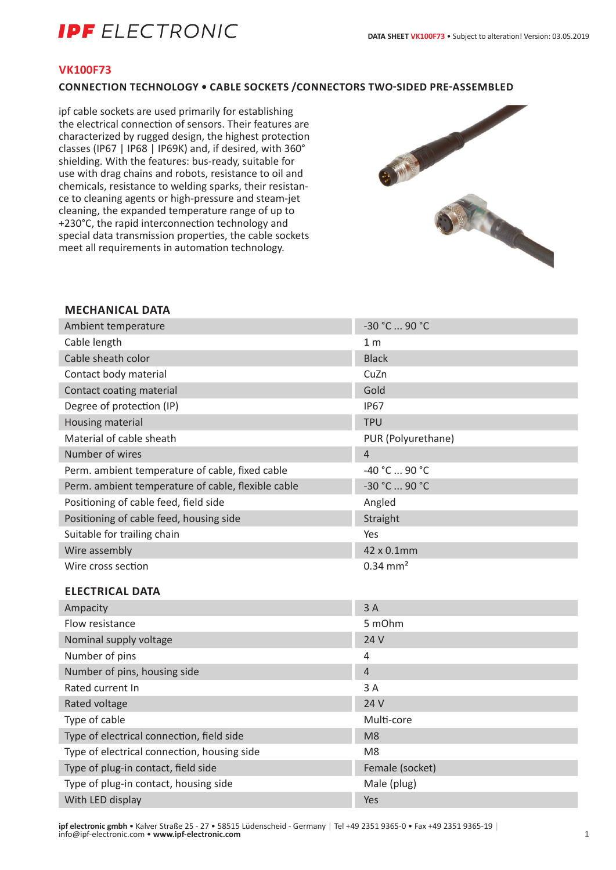## **IPF** ELECTRONIC

#### **VK100F73**

#### **CONNECTION TECHNOLOGY • CABLE SOCKETS /CONNECTORS TWO-SIDED PRE-ASSEMBLED**

ipf cable sockets are used primarily for establishing the electrical connection of sensors. Their features are characterized by rugged design, the highest protection classes (IP67 | IP68 | IP69K) and, if desired, with 360° shielding. With the features: bus-ready, suitable for use with drag chains and robots, resistance to oil and chemicals, resistance to welding sparks, their resistance to cleaning agents or high-pressure and steam-jet cleaning, the expanded temperature range of up to +230°C, the rapid interconnection technology and special data transmission properties, the cable sockets meet all requirements in automation technology.



#### **MECHANICAL DATA**

| Ambient temperature                                | -30 °C  90 °C          |
|----------------------------------------------------|------------------------|
| Cable length                                       | 1 <sub>m</sub>         |
| Cable sheath color                                 | <b>Black</b>           |
| Contact body material                              | CuZn                   |
| Contact coating material                           | Gold                   |
| Degree of protection (IP)                          | <b>IP67</b>            |
| Housing material                                   | <b>TPU</b>             |
| Material of cable sheath                           | PUR (Polyurethane)     |
| Number of wires                                    | $\overline{4}$         |
| Perm. ambient temperature of cable, fixed cable    | -40 °C  90 °C          |
| Perm. ambient temperature of cable, flexible cable | -30 °C  90 °C          |
| Positioning of cable feed, field side              | Angled                 |
| Positioning of cable feed, housing side            | Straight               |
| Suitable for trailing chain                        | Yes                    |
| Wire assembly                                      | 42 x 0.1mm             |
| Wire cross section                                 | $0.34$ mm <sup>2</sup> |
| <b>ELECTRICAL DATA</b>                             |                        |
| Ampacity                                           | 3A                     |
| Flow resistance                                    | 5 mOhm                 |
| Nominal supply voltage                             | 24 V                   |
| Number of pins                                     | 4                      |
| Number of pins, housing side                       | $\overline{4}$         |
| Rated current In                                   | 3A                     |
| Rated voltage                                      | 24 V                   |
| Type of cable                                      | Multi-core             |
| Type of electrical connection, field side          | M <sub>8</sub>         |
| Type of electrical connection, housing side        | M <sub>8</sub>         |
| Type of plug-in contact, field side                | Female (socket)        |
| Type of plug-in contact, housing side              | Male (plug)            |
| With LED display                                   | Yes                    |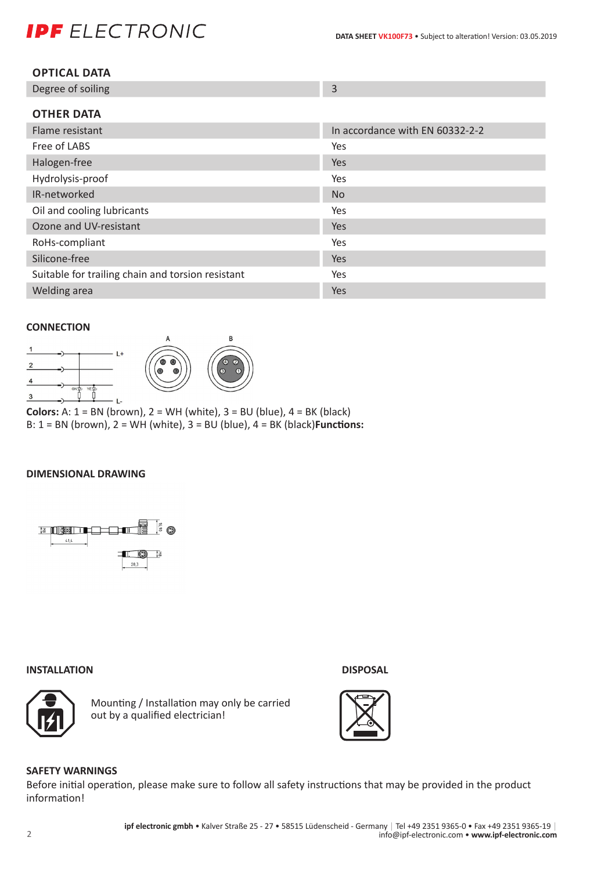# **IPF** ELECTRONIC

| <b>OPTICAL DATA</b> |
|---------------------|
|---------------------|

| Degree of soiling |  |
|-------------------|--|
|                   |  |

| In accordance with EN 60332-2-2 |
|---------------------------------|
| Yes                             |
| Yes                             |
| Yes                             |
| <b>No</b>                       |
| Yes                             |
| Yes                             |
| Yes                             |
| <b>Yes</b>                      |
| Yes                             |
| Yes                             |
|                                 |

#### **CONNECTION**



**Colors:** A:  $1 = BN$  (brown),  $2 = WH$  (white),  $3 = BU$  (blue),  $4 = BK$  (black) B: 1 = BN (brown), 2 = WH (white), 3 = BU (blue), 4 = BK (black)**Functions:**

#### **DIMENSIONAL DRAWING**



#### **INSTALLATION DISPOSAL**



Mounting / Installation may only be carried out by a qualified electrician!





### **SAFETY WARNINGS**

Before initial operation, please make sure to follow all safety instructions that may be provided in the product information!